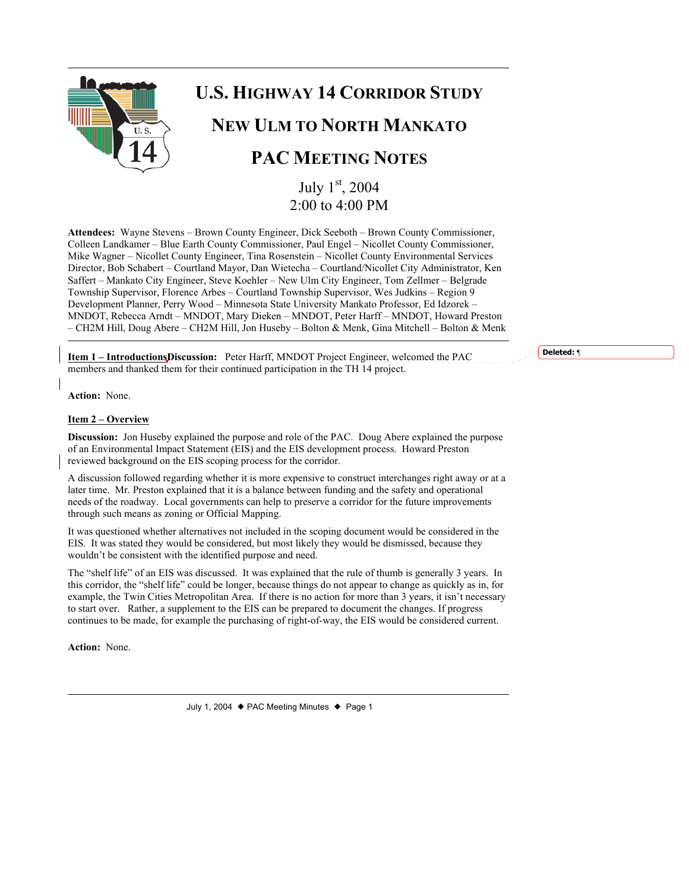

# **U.S. HIGHWAY 14 CORRIDOR STUDY**

## **NEW ULM TO NORTH MANKATO**

# **PAC MEETING NOTES**

July 1st, 2004 2:00 to 4:00 PM

**Attendees:** Wayne Stevens – Brown County Engineer, Dick Seeboth – Brown County Commissioner, Colleen Landkamer – Blue Earth County Commissioner, Paul Engel – Nicollet County Commissioner, Mike Wagner – Nicollet County Engineer, Tina Rosenstein – Nicollet County Environmental Services Director, Bob Schabert – Courtland Mayor, Dan Wietecha – Courtland/Nicollet City Administrator, Ken Saffert – Mankato City Engineer, Steve Koehler – New Ulm City Engineer, Tom Zellmer – Belgrade Township Supervisor, Florence Arbes – Courtland Township Supervisor, Wes Judkins – Region 9 Development Planner, Perry Wood – Minnesota State University Mankato Professor, Ed Idzorek – MNDOT, Rebecca Arndt – MNDOT, Mary Dieken – MNDOT, Peter Harff – MNDOT, Howard Preston – CH2M Hill, Doug Abere – CH2M Hill, Jon Huseby – Bolton & Menk, Gina Mitchell – Bolton & Menk

**Item 1 – IntroductionsDiscussion:** Peter Harff, MNDOT Project Engineer, welcomed the PAC members and thanked them for their continued participation in the TH 14 project.

**Action:** None.

#### **Item 2 – Overview**

**Discussion:** Jon Huseby explained the purpose and role of the PAC. Doug Abere explained the purpose of an Environmental Impact Statement (EIS) and the EIS development process. Howard Preston reviewed background on the EIS scoping process for the corridor.

A discussion followed regarding whether it is more expensive to construct interchanges right away or at a later time. Mr. Preston explained that it is a balance between funding and the safety and operational needs of the roadway. Local governments can help to preserve a corridor for the future improvements through such means as zoning or Official Mapping.

It was questioned whether alternatives not included in the scoping document would be considered in the EIS. It was stated they would be considered, but most likely they would be dismissed, because they wouldn't be consistent with the identified purpose and need.

The "shelf life" of an EIS was discussed. It was explained that the rule of thumb is generally 3 years. In this corridor, the "shelf life" could be longer, because things do not appear to change as quickly as in, for example, the Twin Cities Metropolitan Area. If there is no action for more than 3 years, it isn't necessary to start over. Rather, a supplement to the EIS can be prepared to document the changes. If progress continues to be made, for example the purchasing of right-of-way, the EIS would be considered current.

**Action:** None.

**Deleted:** ¶

July 1, 2004  $\blacklozenge$  PAC Meeting Minutes  $\blacklozenge$  Page 1